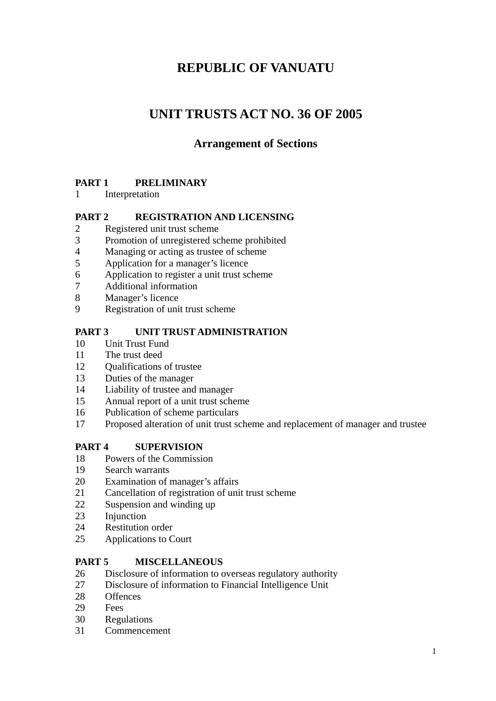# **REPUBLIC OF VANUATU**

# **UNIT TRUSTS ACT NO. 36 OF 2005**

## **Arrangement of Sections**

## **PART 1 PRELIMINARY**

Interpretation

## **PART 2 REGISTRATION AND LICENSING**

- Registered unit trust scheme
- Promotion of unregistered scheme prohibited
- Managing or acting as trustee of scheme
- Application for a manager's licence
- Application to register a unit trust scheme
- Additional information
- Manager's licence
- Registration of unit trust scheme

## **PART 3 UNIT TRUST ADMINISTRATION**

- Unit Trust Fund
- The trust deed
- Qualifications of trustee
- Duties of the manager
- Liability of trustee and manager
- Annual report of a unit trust scheme
- Publication of scheme particulars
- Proposed alteration of unit trust scheme and replacement of manager and trustee

## **PART 4 SUPERVISION**

- Powers of the Commission
- Search warrants
- Examination of manager's affairs
- Cancellation of registration of unit trust scheme
- Suspension and winding up
- 23 Injunction
- Restitution order
- Applications to Court

## **PART 5 MISCELLANEOUS**

- Disclosure of information to overseas regulatory authority
- Disclosure of information to Financial Intelligence Unit
- Offences
- Fees
- Regulations
- Commencement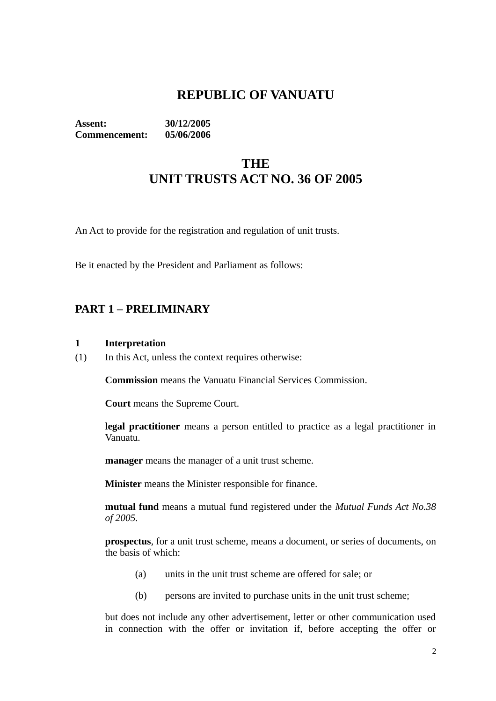# **REPUBLIC OF VANUATU**

**Assent: 30/12/2005 Commencement: 05/06/2006**

# **THE UNIT TRUSTS ACT NO. 36 OF 2005**

An Act to provide for the registration and regulation of unit trusts.

Be it enacted by the President and Parliament as follows:

## **PART 1 – PRELIMINARY**

#### **1 Interpretation**

(1) In this Act, unless the context requires otherwise:

**Commission** means the Vanuatu Financial Services Commission.

**Court** means the Supreme Court.

**legal practitioner** means a person entitled to practice as a legal practitioner in Vanuatu.

**manager** means the manager of a unit trust scheme.

**Minister** means the Minister responsible for finance.

**mutual fund** means a mutual fund registered under the *Mutual Funds Act No.38 of 2005.*

**prospectus**, for a unit trust scheme, means a document, or series of documents, on the basis of which:

- (a) units in the unit trust scheme are offered for sale; or
- (b) persons are invited to purchase units in the unit trust scheme;

but does not include any other advertisement, letter or other communication used in connection with the offer or invitation if, before accepting the offer or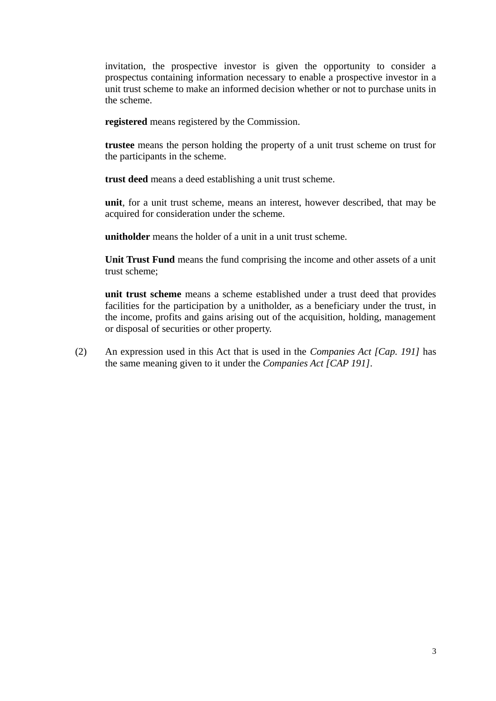invitation, the prospective investor is given the opportunity to consider a prospectus containing information necessary to enable a prospective investor in a unit trust scheme to make an informed decision whether or not to purchase units in the scheme.

**registered** means registered by the Commission.

**trustee** means the person holding the property of a unit trust scheme on trust for the participants in the scheme.

**trust deed** means a deed establishing a unit trust scheme.

**unit**, for a unit trust scheme, means an interest, however described, that may be acquired for consideration under the scheme.

**unitholder** means the holder of a unit in a unit trust scheme.

**Unit Trust Fund** means the fund comprising the income and other assets of a unit trust scheme;

**unit trust scheme** means a scheme established under a trust deed that provides facilities for the participation by a unitholder, as a beneficiary under the trust, in the income, profits and gains arising out of the acquisition, holding, management or disposal of securities or other property.

(2) An expression used in this Act that is used in the *Companies Act [Cap. 191]* has the same meaning given to it under the *Companies Act [CAP 191]*.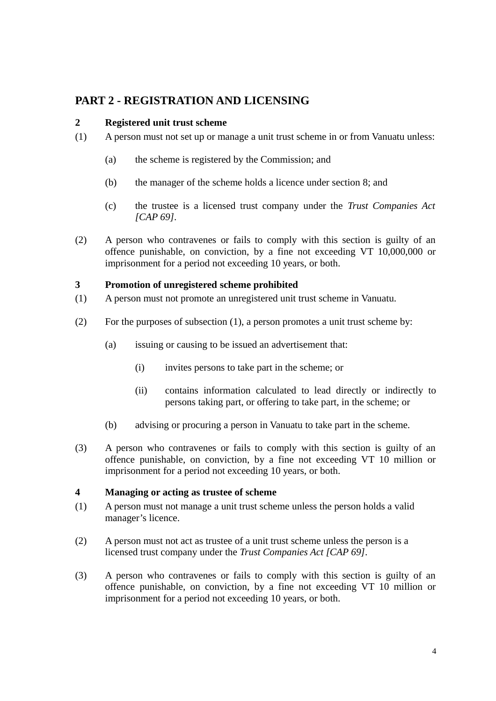## **PART 2 - REGISTRATION AND LICENSING**

## **2 Registered unit trust scheme**

- (1) A person must not set up or manage a unit trust scheme in or from Vanuatu unless:
	- (a) the scheme is registered by the Commission; and
	- (b) the manager of the scheme holds a licence under section 8; and
	- (c) the trustee is a licensed trust company under the *Trust Companies Act [CAP 69]*.
- (2) A person who contravenes or fails to comply with this section is guilty of an offence punishable, on conviction, by a fine not exceeding VT 10,000,000 or imprisonment for a period not exceeding 10 years, or both.

#### **3 Promotion of unregistered scheme prohibited**

- (1) A person must not promote an unregistered unit trust scheme in Vanuatu.
- (2) For the purposes of subsection (1), a person promotes a unit trust scheme by:
	- (a) issuing or causing to be issued an advertisement that:
		- (i) invites persons to take part in the scheme; or
		- (ii) contains information calculated to lead directly or indirectly to persons taking part, or offering to take part, in the scheme; or
	- (b) advising or procuring a person in Vanuatu to take part in the scheme.
- (3) A person who contravenes or fails to comply with this section is guilty of an offence punishable, on conviction, by a fine not exceeding VT 10 million or imprisonment for a period not exceeding 10 years, or both.

#### **4 Managing or acting as trustee of scheme**

- (1) A person must not manage a unit trust scheme unless the person holds a valid manager's licence.
- (2) A person must not act as trustee of a unit trust scheme unless the person is a licensed trust company under the *Trust Companies Act [CAP 69]*.
- (3) A person who contravenes or fails to comply with this section is guilty of an offence punishable, on conviction, by a fine not exceeding VT 10 million or imprisonment for a period not exceeding 10 years, or both.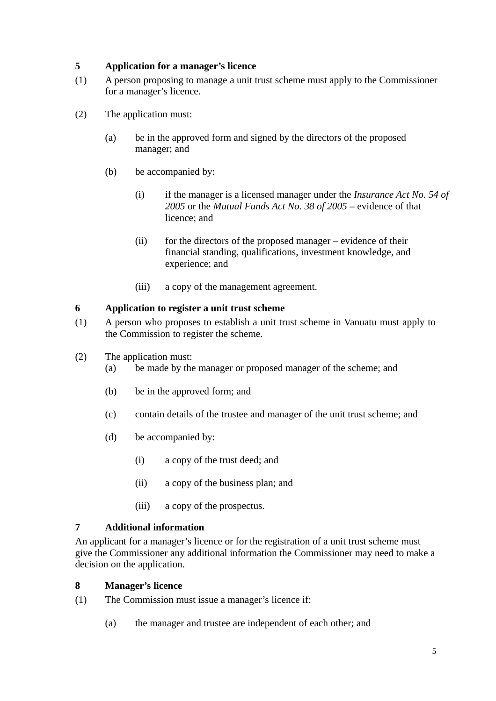## **5 Application for a manager's licence**

- (1) A person proposing to manage a unit trust scheme must apply to the Commissioner for a manager's licence.
- (2) The application must:
	- (a) be in the approved form and signed by the directors of the proposed manager; and
	- (b) be accompanied by:
		- (i) if the manager is a licensed manager under the *Insurance Act No. 54 of 2005* or the *Mutual Funds Act No. 38 of 2005 –* evidence of that licence; and
		- (ii) for the directors of the proposed manager evidence of their financial standing, qualifications, investment knowledge, and experience; and
		- (iii) a copy of the management agreement.

## **6 Application to register a unit trust scheme**

- (1) A person who proposes to establish a unit trust scheme in Vanuatu must apply to the Commission to register the scheme.
- (2) The application must:
	- (a) be made by the manager or proposed manager of the scheme; and
	- (b) be in the approved form; and
	- (c) contain details of the trustee and manager of the unit trust scheme; and
	- (d) be accompanied by:
		- (i) a copy of the trust deed; and
		- (ii) a copy of the business plan; and
		- (iii) a copy of the prospectus.

#### **7 Additional information**

An applicant for a manager's licence or for the registration of a unit trust scheme must give the Commissioner any additional information the Commissioner may need to make a decision on the application.

#### **8 Manager's licence**

- (1) The Commission must issue a manager's licence if:
	- (a) the manager and trustee are independent of each other; and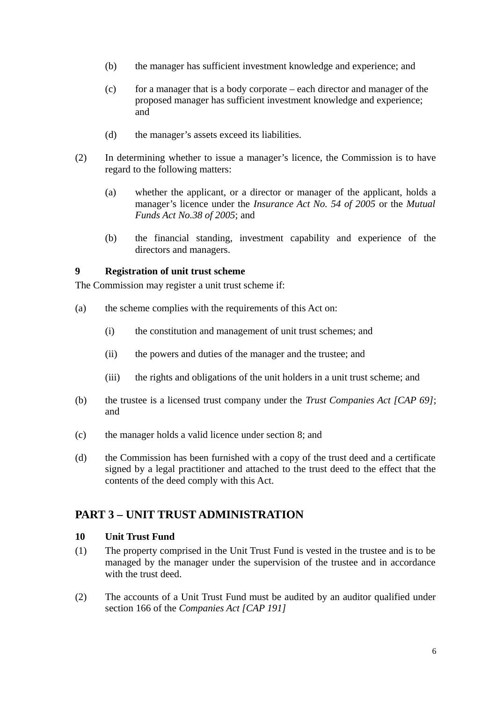- (b) the manager has sufficient investment knowledge and experience; and
- $(c)$  for a manager that is a body corporate each director and manager of the proposed manager has sufficient investment knowledge and experience; and
- (d) the manager's assets exceed its liabilities.
- (2) In determining whether to issue a manager's licence, the Commission is to have regard to the following matters:
	- (a) whether the applicant, or a director or manager of the applicant, holds a manager's licence under the *Insurance Act No. 54 of 2005* or the *Mutual Funds Act No.38 of 2005*; and
	- (b) the financial standing, investment capability and experience of the directors and managers.

## **9 Registration of unit trust scheme**

The Commission may register a unit trust scheme if:

- (a) the scheme complies with the requirements of this Act on:
	- (i) the constitution and management of unit trust schemes; and
	- (ii) the powers and duties of the manager and the trustee; and
	- (iii) the rights and obligations of the unit holders in a unit trust scheme; and
- (b) the trustee is a licensed trust company under the *Trust Companies Act [CAP 69]*; and
- (c) the manager holds a valid licence under section 8; and
- (d) the Commission has been furnished with a copy of the trust deed and a certificate signed by a legal practitioner and attached to the trust deed to the effect that the contents of the deed comply with this Act.

## **PART 3 – UNIT TRUST ADMINISTRATION**

#### **10 Unit Trust Fund**

- (1) The property comprised in the Unit Trust Fund is vested in the trustee and is to be managed by the manager under the supervision of the trustee and in accordance with the trust deed.
- (2) The accounts of a Unit Trust Fund must be audited by an auditor qualified under section 166 of the *Companies Act [CAP 191]*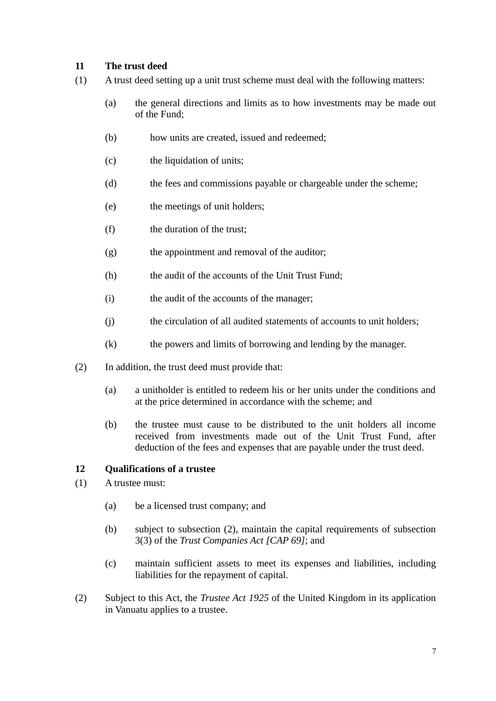## **11 The trust deed**

- (1) A trust deed setting up a unit trust scheme must deal with the following matters:
	- (a) the general directions and limits as to how investments may be made out of the Fund;
	- (b) how units are created, issued and redeemed:
	- (c) the liquidation of units;
	- (d) the fees and commissions payable or chargeable under the scheme;
	- (e) the meetings of unit holders;
	- (f) the duration of the trust;
	- (g) the appointment and removal of the auditor;
	- (h) the audit of the accounts of the Unit Trust Fund;
	- (i) the audit of the accounts of the manager;
	- (j) the circulation of all audited statements of accounts to unit holders;
	- (k) the powers and limits of borrowing and lending by the manager.
- (2) In addition, the trust deed must provide that:
	- (a) a unitholder is entitled to redeem his or her units under the conditions and at the price determined in accordance with the scheme; and
	- (b) the trustee must cause to be distributed to the unit holders all income received from investments made out of the Unit Trust Fund, after deduction of the fees and expenses that are payable under the trust deed.

## **12 Qualifications of a trustee**

- (1) A trustee must:
	- (a) be a licensed trust company; and
	- (b) subject to subsection (2), maintain the capital requirements of subsection 3(3) of the *Trust Companies Act [CAP 69]*; and
	- (c) maintain sufficient assets to meet its expenses and liabilities, including liabilities for the repayment of capital.
- (2) Subject to this Act, the *Trustee Act 1925* of the United Kingdom in its application in Vanuatu applies to a trustee.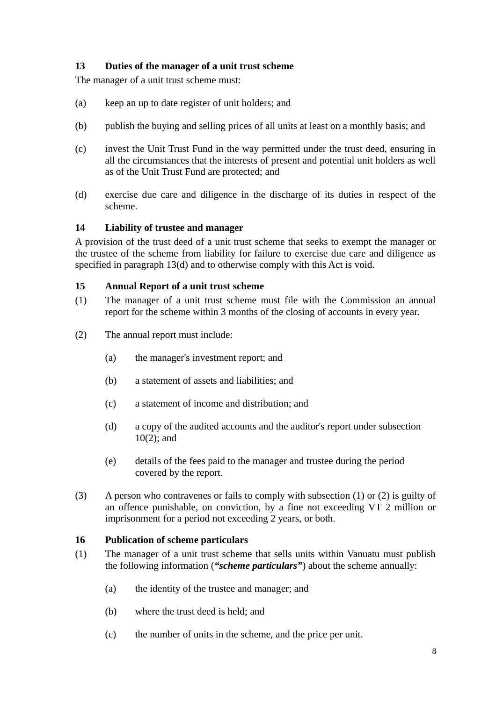## **13 Duties of the manager of a unit trust scheme**

The manager of a unit trust scheme must:

- (a) keep an up to date register of unit holders; and
- (b) publish the buying and selling prices of all units at least on a monthly basis; and
- (c) invest the Unit Trust Fund in the way permitted under the trust deed, ensuring in all the circumstances that the interests of present and potential unit holders as well as of the Unit Trust Fund are protected; and
- (d) exercise due care and diligence in the discharge of its duties in respect of the scheme.

## **14 Liability of trustee and manager**

A provision of the trust deed of a unit trust scheme that seeks to exempt the manager or the trustee of the scheme from liability for failure to exercise due care and diligence as specified in paragraph 13(d) and to otherwise comply with this Act is void.

#### **15 Annual Report of a unit trust scheme**

- (1) The manager of a unit trust scheme must file with the Commission an annual report for the scheme within 3 months of the closing of accounts in every year.
- (2) The annual report must include:
	- (a) the manager's investment report; and
	- (b) a statement of assets and liabilities; and
	- (c) a statement of income and distribution; and
	- (d) a copy of the audited accounts and the auditor's report under subsection 10(2); and
	- (e) details of the fees paid to the manager and trustee during the period covered by the report.
- (3) A person who contravenes or fails to comply with subsection (1) or (2) is guilty of an offence punishable, on conviction, by a fine not exceeding VT 2 million or imprisonment for a period not exceeding 2 years, or both.

#### **16 Publication of scheme particulars**

- (1) The manager of a unit trust scheme that sells units within Vanuatu must publish the following information (*"scheme particulars"*) about the scheme annually:
	- (a) the identity of the trustee and manager; and
	- (b) where the trust deed is held; and
	- (c) the number of units in the scheme, and the price per unit.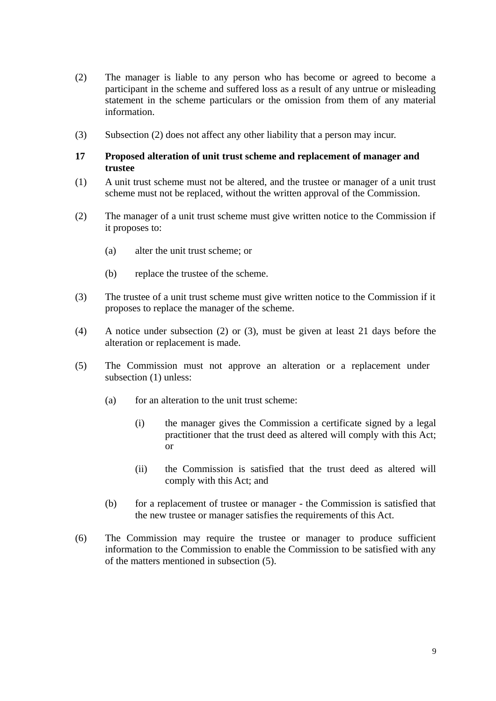- (2) The manager is liable to any person who has become or agreed to become a participant in the scheme and suffered loss as a result of any untrue or misleading statement in the scheme particulars or the omission from them of any material information.
- (3) Subsection (2) does not affect any other liability that a person may incur.

#### **17 Proposed alteration of unit trust scheme and replacement of manager and trustee**

- (1) A unit trust scheme must not be altered, and the trustee or manager of a unit trust scheme must not be replaced, without the written approval of the Commission.
- (2) The manager of a unit trust scheme must give written notice to the Commission if it proposes to:
	- (a) alter the unit trust scheme; or
	- (b) replace the trustee of the scheme.
- (3) The trustee of a unit trust scheme must give written notice to the Commission if it proposes to replace the manager of the scheme.
- (4) A notice under subsection (2) or (3), must be given at least 21 days before the alteration or replacement is made.
- (5) The Commission must not approve an alteration or a replacement under subsection (1) unless:
	- (a) for an alteration to the unit trust scheme:
		- (i) the manager gives the Commission a certificate signed by a legal practitioner that the trust deed as altered will comply with this Act; or
		- (ii) the Commission is satisfied that the trust deed as altered will comply with this Act; and
	- (b) for a replacement of trustee or manager the Commission is satisfied that the new trustee or manager satisfies the requirements of this Act.
- (6) The Commission may require the trustee or manager to produce sufficient information to the Commission to enable the Commission to be satisfied with any of the matters mentioned in subsection (5).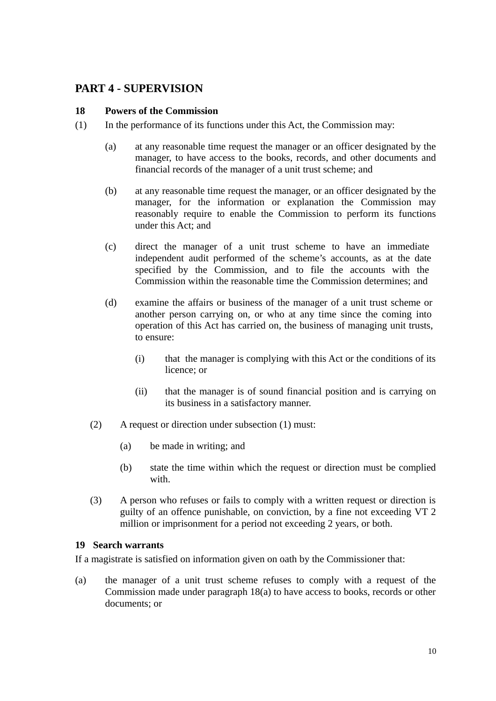## **PART 4 - SUPERVISION**

#### **18 Powers of the Commission**

- (1) In the performance of its functions under this Act, the Commission may:
	- (a) at any reasonable time request the manager or an officer designated by the manager, to have access to the books, records, and other documents and financial records of the manager of a unit trust scheme; and
	- (b) at any reasonable time request the manager, or an officer designated by the manager, for the information or explanation the Commission may reasonably require to enable the Commission to perform its functions under this Act; and
	- (c) direct the manager of a unit trust scheme to have an immediate independent audit performed of the scheme's accounts, as at the date specified by the Commission, and to file the accounts with the Commission within the reasonable time the Commission determines; and
	- (d) examine the affairs or business of the manager of a unit trust scheme or another person carrying on, or who at any time since the coming into operation of this Act has carried on, the business of managing unit trusts, to ensure:
		- (i) that the manager is complying with this Act or the conditions of its licence; or
		- (ii) that the manager is of sound financial position and is carrying on its business in a satisfactory manner.
	- (2) A request or direction under subsection (1) must:
		- (a) be made in writing; and
		- (b) state the time within which the request or direction must be complied with.
	- (3) A person who refuses or fails to comply with a written request or direction is guilty of an offence punishable, on conviction, by a fine not exceeding VT 2 million or imprisonment for a period not exceeding 2 years, or both.

#### **19 Search warrants**

If a magistrate is satisfied on information given on oath by the Commissioner that:

(a) the manager of a unit trust scheme refuses to comply with a request of the Commission made under paragraph 18(a) to have access to books, records or other documents; or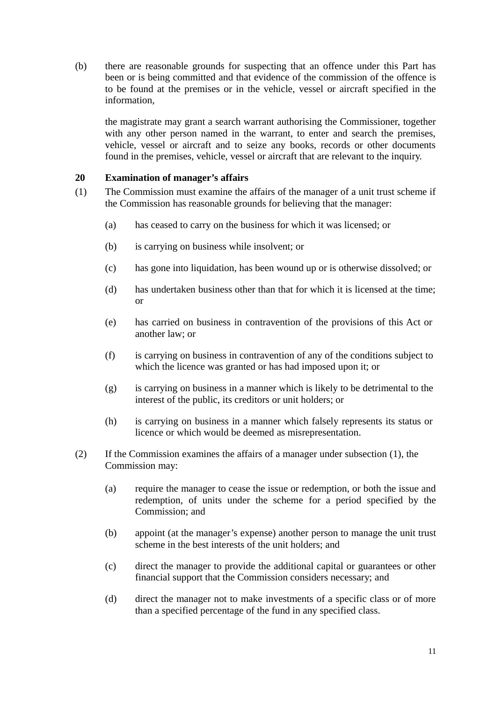(b) there are reasonable grounds for suspecting that an offence under this Part has been or is being committed and that evidence of the commission of the offence is to be found at the premises or in the vehicle, vessel or aircraft specified in the information,

the magistrate may grant a search warrant authorising the Commissioner, together with any other person named in the warrant, to enter and search the premises, vehicle, vessel or aircraft and to seize any books, records or other documents found in the premises, vehicle, vessel or aircraft that are relevant to the inquiry.

## **20 Examination of manager's affairs**

- (1) The Commission must examine the affairs of the manager of a unit trust scheme if the Commission has reasonable grounds for believing that the manager:
	- (a) has ceased to carry on the business for which it was licensed; or
	- (b) is carrying on business while insolvent; or
	- (c) has gone into liquidation, has been wound up or is otherwise dissolved; or
	- (d) has undertaken business other than that for which it is licensed at the time; or
	- (e) has carried on business in contravention of the provisions of this Act or another law; or
	- (f) is carrying on business in contravention of any of the conditions subject to which the licence was granted or has had imposed upon it; or
	- (g) is carrying on business in a manner which is likely to be detrimental to the interest of the public, its creditors or unit holders; or
	- (h) is carrying on business in a manner which falsely represents its status or licence or which would be deemed as misrepresentation.
- (2) If the Commission examines the affairs of a manager under subsection (1), the Commission may:
	- (a) require the manager to cease the issue or redemption, or both the issue and redemption, of units under the scheme for a period specified by the Commission; and
	- (b) appoint (at the manager's expense) another person to manage the unit trust scheme in the best interests of the unit holders; and
	- (c) direct the manager to provide the additional capital or guarantees or other financial support that the Commission considers necessary; and
	- (d) direct the manager not to make investments of a specific class or of more than a specified percentage of the fund in any specified class.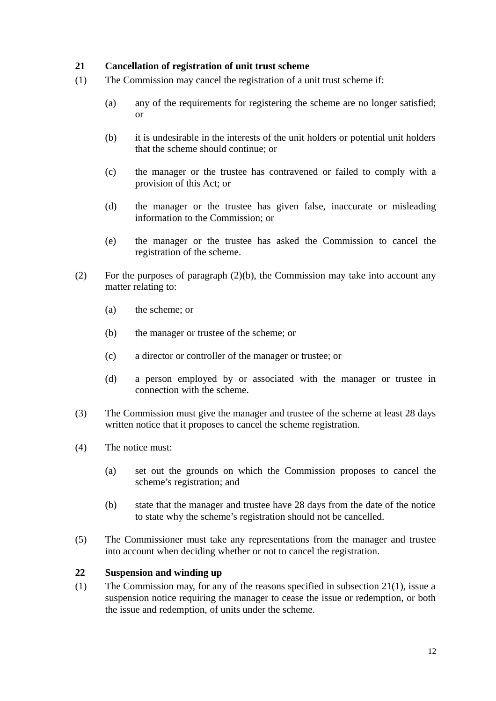## **21 Cancellation of registration of unit trust scheme**

- (1) The Commission may cancel the registration of a unit trust scheme if:
	- (a) any of the requirements for registering the scheme are no longer satisfied; or
	- (b) it is undesirable in the interests of the unit holders or potential unit holders that the scheme should continue; or
	- (c) the manager or the trustee has contravened or failed to comply with a provision of this Act; or
	- (d) the manager or the trustee has given false, inaccurate or misleading information to the Commission; or
	- (e) the manager or the trustee has asked the Commission to cancel the registration of the scheme.
- (2) For the purposes of paragraph (2)(b), the Commission may take into account any matter relating to:
	- (a) the scheme; or
	- (b) the manager or trustee of the scheme; or
	- (c) a director or controller of the manager or trustee; or
	- (d) a person employed by or associated with the manager or trustee in connection with the scheme.
- (3) The Commission must give the manager and trustee of the scheme at least 28 days written notice that it proposes to cancel the scheme registration.
- (4) The notice must:
	- (a) set out the grounds on which the Commission proposes to cancel the scheme's registration; and
	- (b) state that the manager and trustee have 28 days from the date of the notice to state why the scheme's registration should not be cancelled.
- (5) The Commissioner must take any representations from the manager and trustee into account when deciding whether or not to cancel the registration.

## **22 Suspension and winding up**

(1) The Commission may, for any of the reasons specified in subsection 21(1), issue a suspension notice requiring the manager to cease the issue or redemption, or both the issue and redemption, of units under the scheme.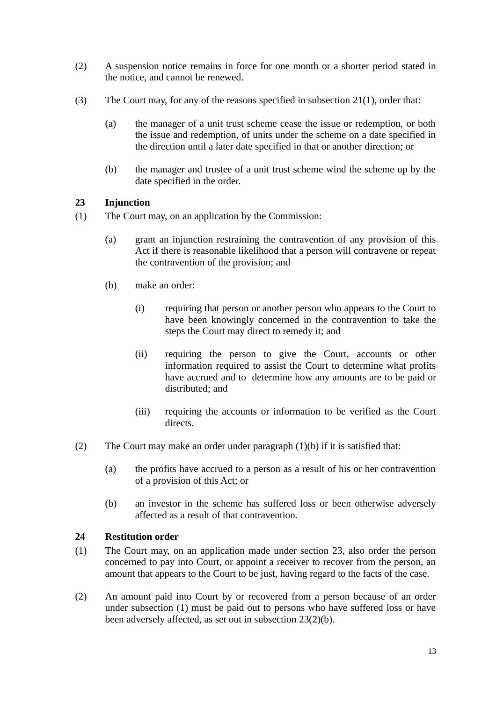- (2) A suspension notice remains in force for one month or a shorter period stated in the notice, and cannot be renewed.
- (3) The Court may, for any of the reasons specified in subsection 21(1), order that:
	- (a) the manager of a unit trust scheme cease the issue or redemption, or both the issue and redemption, of units under the scheme on a date specified in the direction until a later date specified in that or another direction; or
	- (b) the manager and trustee of a unit trust scheme wind the scheme up by the date specified in the order.

## **23 Injunction**

- (1) The Court may, on an application by the Commission:
	- (a) grant an injunction restraining the contravention of any provision of this Act if there is reasonable likelihood that a person will contravene or repeat the contravention of the provision; and
	- (b) make an order:
		- (i) requiring that person or another person who appears to the Court to have been knowingly concerned in the contravention to take the steps the Court may direct to remedy it; and
		- (ii) requiring the person to give the Court, accounts or other information required to assist the Court to determine what profits have accrued and to determine how any amounts are to be paid or distributed; and
		- (iii) requiring the accounts or information to be verified as the Court directs.
- (2) The Court may make an order under paragraph (1)(b) if it is satisfied that:
	- (a) the profits have accrued to a person as a result of his or her contravention of a provision of this Act; or
	- (b) an investor in the scheme has suffered loss or been otherwise adversely affected as a result of that contravention.

## **24 Restitution order**

- (1) The Court may, on an application made under section 23, also order the person concerned to pay into Court, or appoint a receiver to recover from the person, an amount that appears to the Court to be just, having regard to the facts of the case.
- (2) An amount paid into Court by or recovered from a person because of an order under subsection (1) must be paid out to persons who have suffered loss or have been adversely affected, as set out in subsection 23(2)(b).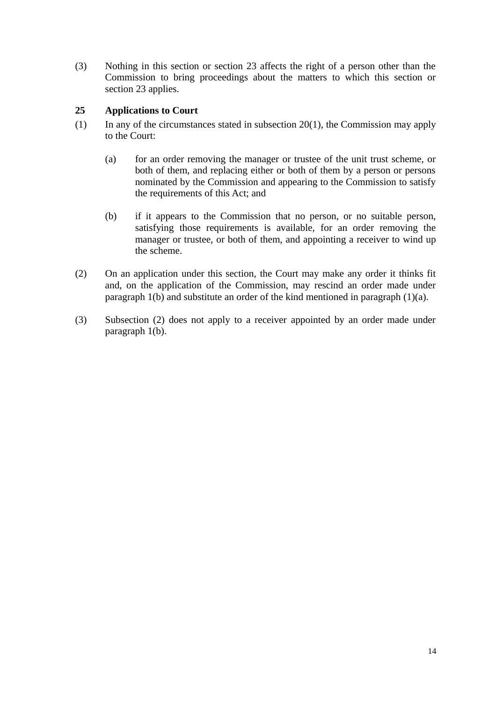(3) Nothing in this section or section 23 affects the right of a person other than the Commission to bring proceedings about the matters to which this section or section 23 applies.

## **25 Applications to Court**

- (1) In any of the circumstances stated in subsection 20(1), the Commission may apply to the Court:
	- (a) for an order removing the manager or trustee of the unit trust scheme, or both of them, and replacing either or both of them by a person or persons nominated by the Commission and appearing to the Commission to satisfy the requirements of this Act; and
	- (b) if it appears to the Commission that no person, or no suitable person, satisfying those requirements is available, for an order removing the manager or trustee, or both of them, and appointing a receiver to wind up the scheme.
- (2) On an application under this section, the Court may make any order it thinks fit and, on the application of the Commission, may rescind an order made under paragraph 1(b) and substitute an order of the kind mentioned in paragraph (1)(a).
- (3) Subsection (2) does not apply to a receiver appointed by an order made under paragraph 1(b).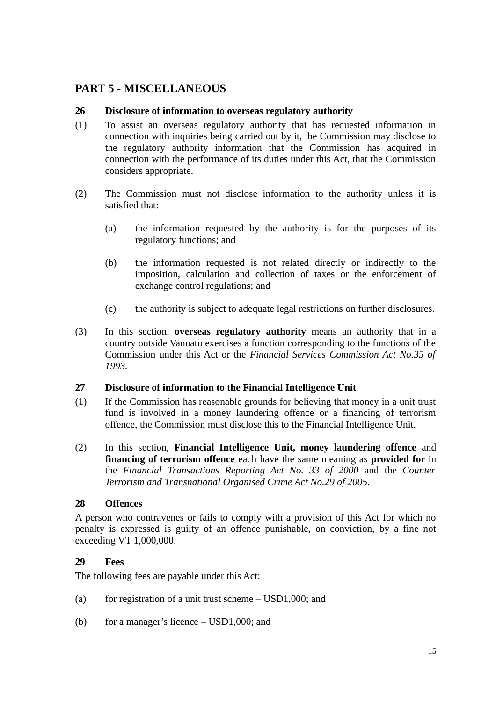## **PART 5 - MISCELLANEOUS**

## **26 Disclosure of information to overseas regulatory authority**

- (1) To assist an overseas regulatory authority that has requested information in connection with inquiries being carried out by it, the Commission may disclose to the regulatory authority information that the Commission has acquired in connection with the performance of its duties under this Act, that the Commission considers appropriate.
- (2) The Commission must not disclose information to the authority unless it is satisfied that:
	- (a) the information requested by the authority is for the purposes of its regulatory functions; and
	- (b) the information requested is not related directly or indirectly to the imposition, calculation and collection of taxes or the enforcement of exchange control regulations; and
	- (c) the authority is subject to adequate legal restrictions on further disclosures.
- (3) In this section, **overseas regulatory authority** means an authority that in a country outside Vanuatu exercises a function corresponding to the functions of the Commission under this Act or the *Financial Services Commission Act No.35 of 1993.*

#### **27 Disclosure of information to the Financial Intelligence Unit**

- (1) If the Commission has reasonable grounds for believing that money in a unit trust fund is involved in a money laundering offence or a financing of terrorism offence, the Commission must disclose this to the Financial Intelligence Unit.
- (2) In this section, **Financial Intelligence Unit, money laundering offence** and **financing of terrorism offence** each have the same meaning as **provided for** in the *Financial Transactions Reporting Act No. 33 of 2000* and the *Counter Terrorism and Transnational Organised Crime Act No.29 of 2005.*

## **28 Offences**

A person who contravenes or fails to comply with a provision of this Act for which no penalty is expressed is guilty of an offence punishable, on conviction, by a fine not exceeding VT 1,000,000.

#### **29 Fees**

The following fees are payable under this Act:

- (a) for registration of a unit trust scheme  $-$  USD1,000; and
- (b) for a manager's licence USD1,000; and